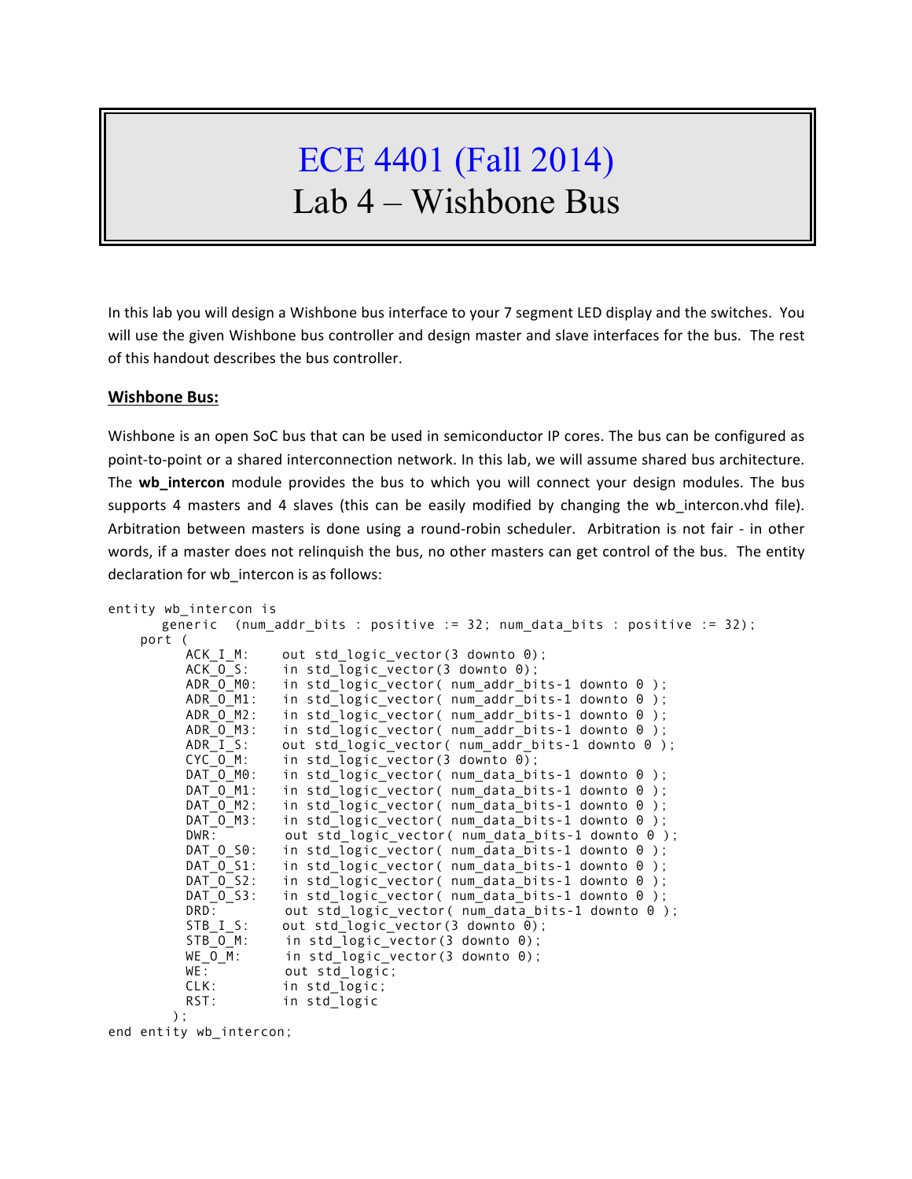# ECE 4401 (Fall 2014) Lab 4 – Wishbone Bus

In this lab you will design a Wishbone bus interface to your 7 segment LED display and the switches. You will use the given Wishbone bus controller and design master and slave interfaces for the bus. The rest of this handout describes the bus controller.

### **Wishbone Bus:**

Wishbone is an open SoC bus that can be used in semiconductor IP cores. The bus can be configured as point-to-point or a shared interconnection network. In this lab, we will assume shared bus architecture. The **wb\_intercon** module provides the bus to which you will connect your design modules. The bus supports 4 masters and 4 slaves (this can be easily modified by changing the wb intercon.vhd file). Arbitration between masters is done using a round-robin scheduler. Arbitration is not fair - in other words, if a master does not relinquish the bus, no other masters can get control of the bus. The entity declaration for wb intercon is as follows:

```
entity wb_intercon is
      generic (num_addr_bits : positive := 32; num_data_bits : positive := 32);
     port (
          ACK I M: out std logic vector(3 downto 0);
           ACK_O_S: in std_logic_vector(3 downto 0);
           ADR_O_M0: in std_logic_vector( num_addr_bits-1 downto 0 );
           ADR_O_M1: in std_logic_vector( num_addr_bits-1 downto 0 );
ADR_O_M2: in std_logic_vector( num_addr_bits-1 downto 0 );
ADR_O_M3: in std_logic_vector( num_addr_bits-1 downto 0 );
          ADR\_I\_S: out std_logic_vector( num_addr_bits-1 downto 0 );<br>CYC_O_M: in std_logic_vector(3 downto 0);
          CYC_O_M: in std_logic_vector(3 downto 0);<br>DAT O_M0: in std logic_vector( num data bi
                      in std_logic_vector( num_data_bits-1 downto 0 );
          DAT O M1: in std logic vector( num data bits-1 downto \theta);
          DAT O M2: in std logic vector( num data bits-1 downto \theta );
          DAT O M3: in std logic vector( num data bits-1 downto \theta );
          DWR: out std_logic_vector( num_data_bits-1 downto 0 );
          DAT_O_S0: in std_logic_vector( num_data_bits-1 downto 0 );
          DAT_O_S1: in std_logic_vector( num_data_bits-1 downto 0 );
           DAT_O_S2: in std_logic_vector( num_data_bits-1 downto 0 );
          DAT_0_S3: in std_logic_vector( num_data_bits-1 downto 0 );
DRD: out std_logic_vector( num_data_bits-1 downto 0 );
        STB_I_S: out std_logic_vector(3 downto 0);
          STB_O_M': in std_logic_vector(3 downto 0);<br>WE_O_M: in std_logic_vector(3 downto 0);
                      in std logic vector(3 downto \theta);
          WE: out std logic;
          CLK: in std logic;
          RST: in std logic
         );
end entity wb_intercon;
```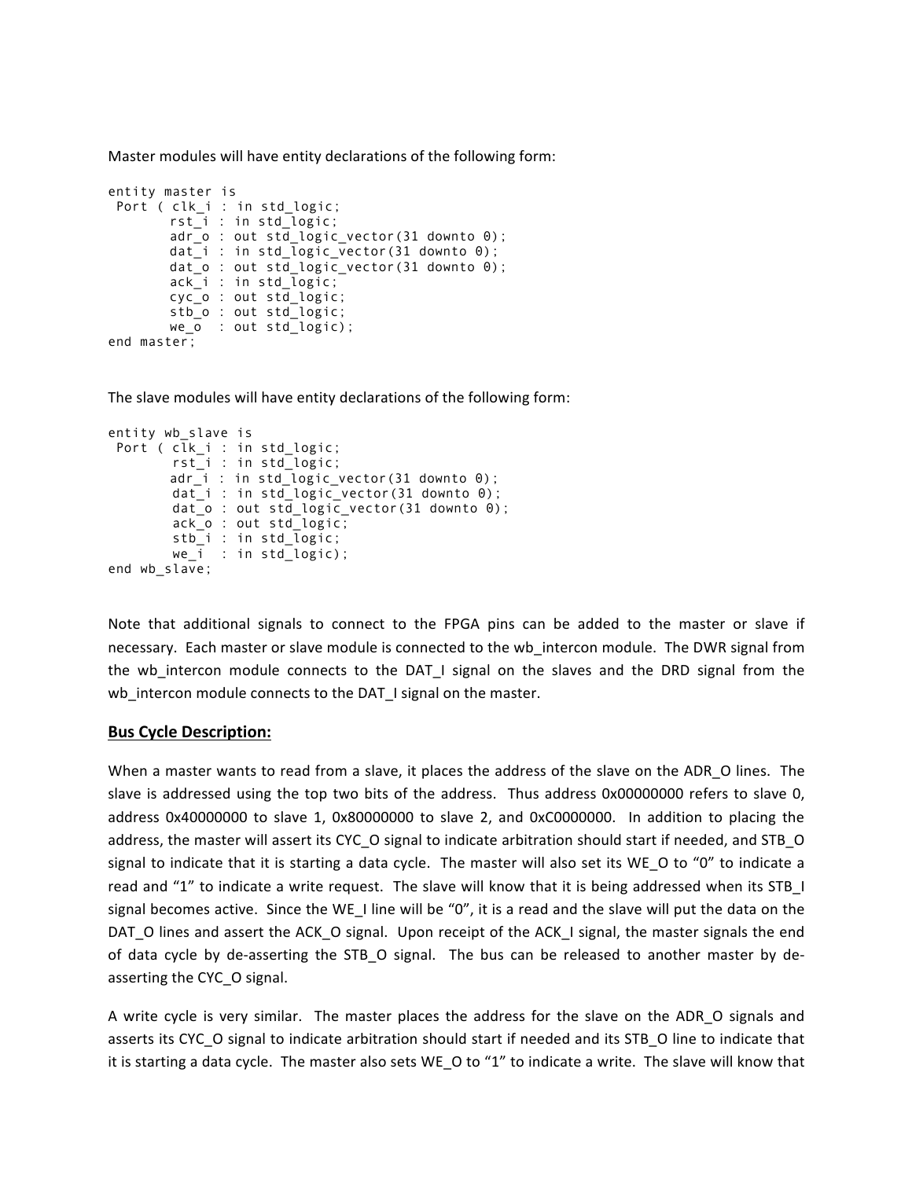Master modules will have entity declarations of the following form:

```
entity master is
Port ( clk_i : in std_logic;
       rst_i : in std_logic;
       adr_o : out std_logic_vector(31 downto 0);
       dat_i : in std_logic_vector(31 downto 0);
       dat_o : out std_logic_vector(31 downto 0);
       ack_i : in std_logic;
       cyc_o : out std_logic;
       stb_o : out std_logic;
       we_o : out std_logic);
end master;
```
The slave modules will have entity declarations of the following form:

```
entity wb_slave is
Port ( clk_i : in std_logic;
 rst_i : in std_logic;
       adr_i : in std_logic_vector(31 downto 0);
        dat_i : in std_logic_vector(31 downto 0);
       dat_0 : out std_logic_vector(31 downto 0);
        ack_o : out std_logic;
        stb_i : in std_logic;
        we_i : in std_logic);
end wb_slave;
```
Note that additional signals to connect to the FPGA pins can be added to the master or slave if necessary. Each master or slave module is connected to the wb intercon module. The DWR signal from the wb\_intercon module connects to the DAT\_I signal on the slaves and the DRD signal from the wb\_intercon module connects to the DAT\_I signal on the master.

#### **Bus Cycle Description:**

When a master wants to read from a slave, it places the address of the slave on the ADR\_O lines. The slave is addressed using the top two bits of the address. Thus address 0x00000000 refers to slave 0, address  $0 \times 40000000$  to slave 1,  $0 \times 80000000$  to slave 2, and  $0 \times C00000000$ . In addition to placing the address, the master will assert its CYC\_O signal to indicate arbitration should start if needed, and STB\_O signal to indicate that it is starting a data cycle. The master will also set its WE O to "0" to indicate a read and "1" to indicate a write request. The slave will know that it is being addressed when its STB I signal becomes active. Since the WE\_I line will be "0", it is a read and the slave will put the data on the DAT\_O lines and assert the ACK\_O signal. Upon receipt of the ACK\_I signal, the master signals the end of data cycle by de-asserting the STB\_O signal. The bus can be released to another master by deasserting the CYC\_O signal.

A write cycle is very similar. The master places the address for the slave on the ADR O signals and asserts its CYC\_O signal to indicate arbitration should start if needed and its STB\_O line to indicate that it is starting a data cycle. The master also sets WE\_O to "1" to indicate a write. The slave will know that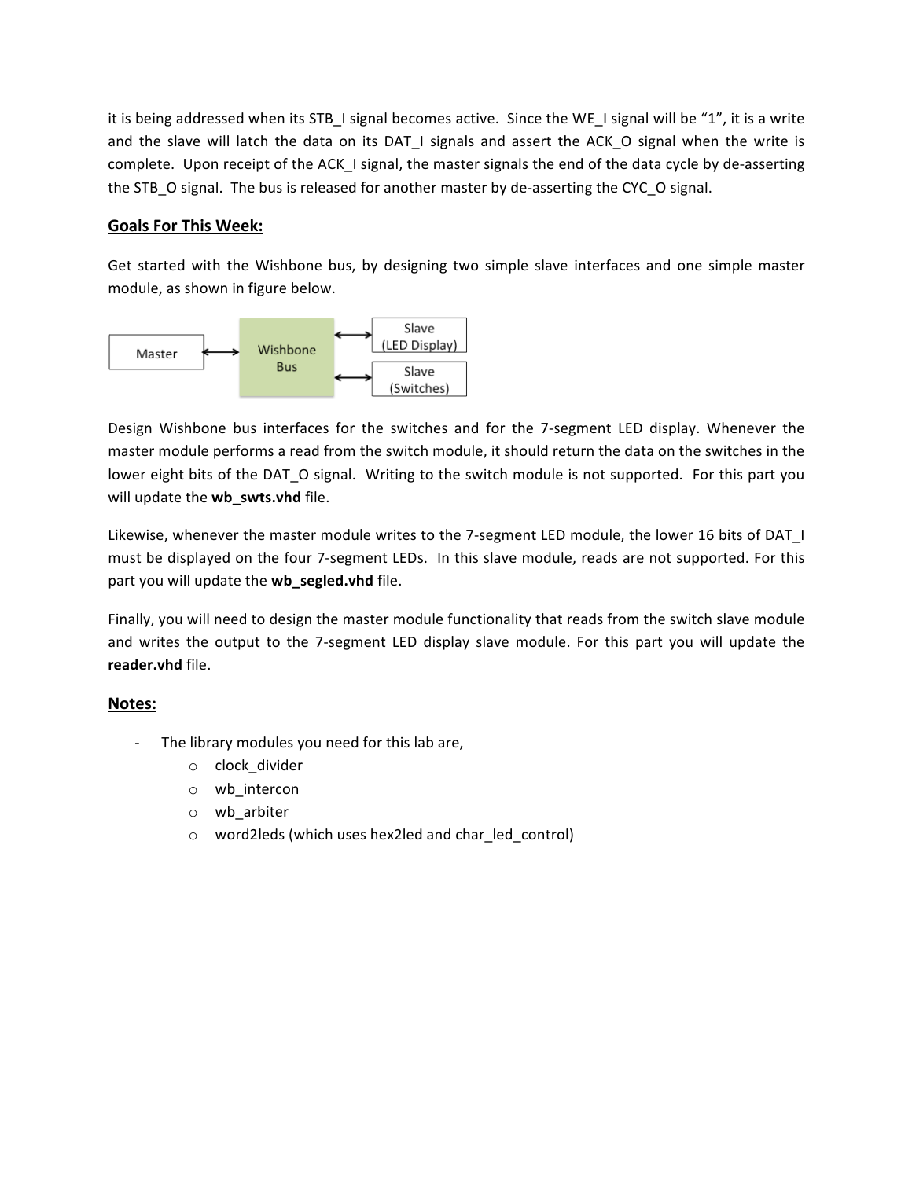it is being addressed when its STB\_I signal becomes active. Since the WE\_I signal will be "1", it is a write and the slave will latch the data on its DAT\_I signals and assert the ACK\_O signal when the write is complete. Upon receipt of the ACK\_I signal, the master signals the end of the data cycle by de-asserting the STB O signal. The bus is released for another master by de-asserting the CYC O signal.

## **Goals For This Week:**

Get started with the Wishbone bus, by designing two simple slave interfaces and one simple master module, as shown in figure below.



Design Wishbone bus interfaces for the switches and for the 7-segment LED display. Whenever the master module performs a read from the switch module, it should return the data on the switches in the lower eight bits of the DAT O signal. Writing to the switch module is not supported. For this part you will update the **wb\_swts.vhd** file.

Likewise, whenever the master module writes to the 7-segment LED module, the lower 16 bits of DAT\_I must be displayed on the four 7-segment LEDs. In this slave module, reads are not supported. For this part you will update the **wb\_segled.vhd** file.

Finally, you will need to design the master module functionality that reads from the switch slave module and writes the output to the 7-segment LED display slave module. For this part you will update the **reader.vhd** file.

## **Notes:**

- The library modules you need for this lab are,
	- o clock\_divider
	- o wb\_intercon
	- o wb\_arbiter
	- o word2leds (which uses hex2led and char\_led\_control)